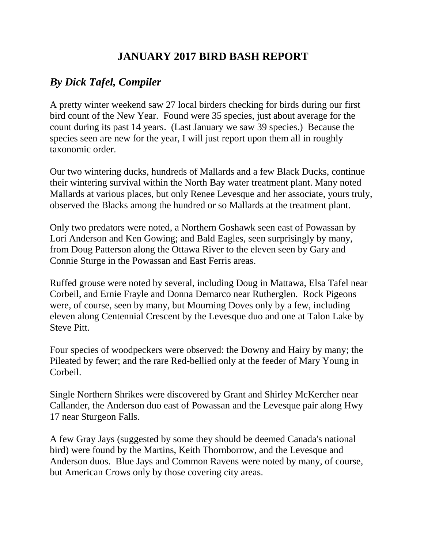## **JANUARY 2017 BIRD BASH REPORT**

## *By Dick Tafel, Compiler*

A pretty winter weekend saw 27 local birders checking for birds during our first bird count of the New Year. Found were 35 species, just about average for the count during its past 14 years. (Last January we saw 39 species.) Because the species seen are new for the year, I will just report upon them all in roughly taxonomic order.

Our two wintering ducks, hundreds of Mallards and a few Black Ducks, continue their wintering survival within the North Bay water treatment plant. Many noted Mallards at various places, but only Renee Levesque and her associate, yours truly, observed the Blacks among the hundred or so Mallards at the treatment plant.

Only two predators were noted, a Northern Goshawk seen east of Powassan by Lori Anderson and Ken Gowing; and Bald Eagles, seen surprisingly by many, from Doug Patterson along the Ottawa River to the eleven seen by Gary and Connie Sturge in the Powassan and East Ferris areas.

Ruffed grouse were noted by several, including Doug in Mattawa, Elsa Tafel near Corbeil, and Ernie Frayle and Donna Demarco near Rutherglen. Rock Pigeons were, of course, seen by many, but Mourning Doves only by a few, including eleven along Centennial Crescent by the Levesque duo and one at Talon Lake by Steve Pitt.

Four species of woodpeckers were observed: the Downy and Hairy by many; the Pileated by fewer; and the rare Red-bellied only at the feeder of Mary Young in Corbeil.

Single Northern Shrikes were discovered by Grant and Shirley McKercher near Callander, the Anderson duo east of Powassan and the Levesque pair along Hwy 17 near Sturgeon Falls.

A few Gray Jays (suggested by some they should be deemed Canada's national bird) were found by the Martins, Keith Thornborrow, and the Levesque and Anderson duos. Blue Jays and Common Ravens were noted by many, of course, but American Crows only by those covering city areas.